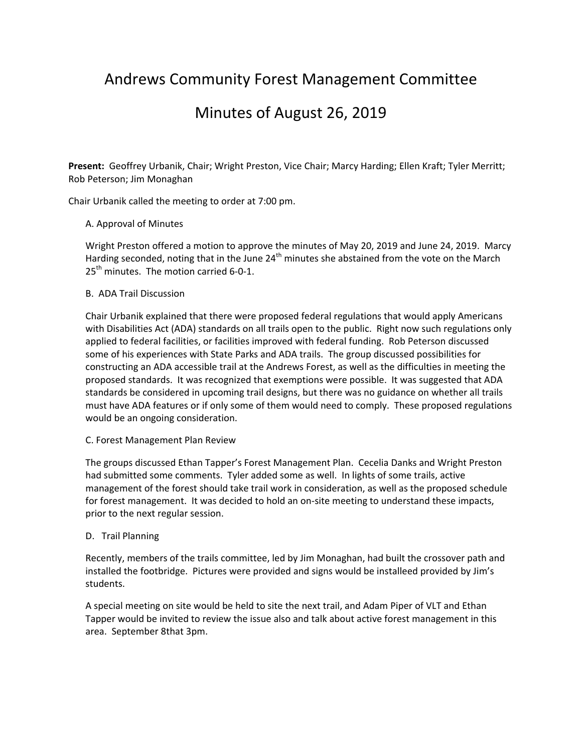# Andrews Community Forest Management Committee

# Minutes of August 26, 2019

**Present:** Geoffrey Urbanik, Chair; Wright Preston, Vice Chair; Marcy Harding; Ellen Kraft; Tyler Merritt; Rob Peterson; Jim Monaghan

Chair Urbanik called the meeting to order at 7:00 pm.

### A. Approval of Minutes

Wright Preston offered a motion to approve the minutes of May 20, 2019 and June 24, 2019. Marcy Harding seconded, noting that in the June 24<sup>th</sup> minutes she abstained from the vote on the March  $25<sup>th</sup>$  minutes. The motion carried 6-0-1.

### B. ADA Trail Discussion

Chair Urbanik explained that there were proposed federal regulations that would apply Americans with Disabilities Act (ADA) standards on all trails open to the public. Right now such regulations only applied to federal facilities, or facilities improved with federal funding. Rob Peterson discussed some of his experiences with State Parks and ADA trails. The group discussed possibilities for constructing an ADA accessible trail at the Andrews Forest, as well as the difficulties in meeting the proposed standards. It was recognized that exemptions were possible. It was suggested that ADA standards be considered in upcoming trail designs, but there was no guidance on whether all trails must have ADA features or if only some of them would need to comply. These proposed regulations would be an ongoing consideration.

#### C. Forest Management Plan Review

The groups discussed Ethan Tapper's Forest Management Plan. Cecelia Danks and Wright Preston had submitted some comments. Tyler added some as well. In lights of some trails, active management of the forest should take trail work in consideration, as well as the proposed schedule for forest management. It was decided to hold an on-site meeting to understand these impacts, prior to the next regular session.

#### D. Trail Planning

 Recently, members of the trails committee, led by Jim Monaghan, had built the crossover path and installed the footbridge. Pictures were provided and signs would be installeed provided by Jim's students.

 A special meeting on site would be held to site the next trail, and Adam Piper of VLT and Ethan Tapper would be invited to review the issue also and talk about active forest management in this area. September 8that 3pm.